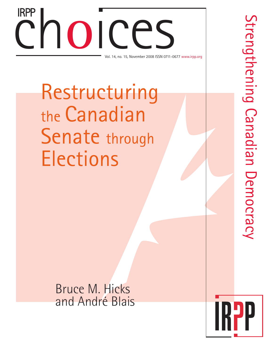# Choice Contract Contract Contract Contract Contract Contract Contract Contract Contract Contract Contract Contract Contract Contract Contract Contract Contract Contract Contract Contract Contract Contract Contract Contract Vol. 14, no. 15, November 2008 ISSN 0711-0677 www.irpp.org IRPP

Restructuring the Canadian Senate through **Elections** 

Bruce M. Hicks and André Blais

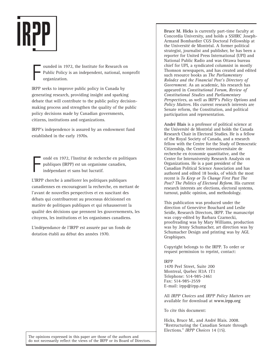

F ounded in 1972, the Institute for Research on Public Policy is an independent, national, nonprofit organization.

IRPP seeks to improve public policy in Canada by generating research, providing insight and sparking debate that will contribute to the public policy decisionmaking process and strengthen the quality of the public policy decisions made by Canadian governments, citizens, institutions and organizations.

IRPP's independence is assured by an endowment fund established in the early 1970s.

F ondé en 1972, l'Institut de recherche en politiques publiques (IRPP) est un organisme canadien, indépendant et sans but lucratif.

L'IRPP cherche à améliorer les politiques publiques canadiennes en encourageant la recherche, en mettant de l'avant de nouvelles perspectives et en suscitant des débats qui contribueront au processus décisionnel en matière de politiques publiques et qui rehausseront la qualité des décisions que prennent les gouvernements, les citoyens, les institutions et les organismes canadiens.

L'indépendance de l'IRPP est assurée par un fonds de dotation établi au début des années 1970.

**Bruce M. Hicks** is currently part-time faculty at Concordia University, and holds a SSHRC Joseph-Armand Bombardier CGS Doctoral Fellowship at the Université de Montréal. A former political strategist, journalist and publisher, he has been a reporter for United Press International (UPI) and National Public Radio and was Ottawa bureau chief for UPI, a syndicated columnist in mostly Thomson newspapers, and has created and edited such resource books as *The Parliamentary Rolodex and the Financial Post's Directory of Government*. As an academic, his research has appeared in *Constitutional Forum*, *Review of Constitutional Studies* and *Parliamentary Perspectives*, as well as IRPP's *Policy Options* and *Policy Matters*. His current research interests are Senate reform, the Constitution, and political participation and representation.

**André Blais** is a professor of political science at the Université de Montréal and holds the Canada Research Chair in Electoral Studies. He is a fellow of the Royal Society of Canada, and a research fellow with the Centre for the Study of Democratic Citizenship, the Centre interuniversitaire de recherche en économie quantitative, and the Center for Interuniversity Research Analysis on Organizations. He is a past president of the Canadian Political Science Association and has authored and edited 18 books, of which the most recent is *To Keep or To Change First Past The Post? The Politics of Electoral Reform*. His current research interests are elections, electoral systems, turnout, public opinion, and methodology.

This publication was produced under the direction of Geneviève Bouchard and Leslie Seidle, Research Directors, IRPP. The manuscript was copy-edited by Barbara Czarnecki, proofreading was by Mary Williams, production was by Jenny Schumacher, art direction was by Schumacher Design and printing was by AGL Graphiques.

Copyright belongs to the IRPP. To order or request permission to reprint, contact:

#### IRPP

1470 Peel Street, Suite 200 Montreal, Quebec H3A 1T1 Telephone: 514-985-2461 Fax: 514-985-2559 E-mail: irpp@irpp.org

All *IRPP Choices* and *IRPP Policy Matters* are available for download at **www.irpp.org**

To cite this document:

Hicks, Bruce M., and André Blais. 2008. "Restructuring the Canadian Senate through Elections." *IRPP Choices* 14 (15).

The opinions expressed in this paper are those of the authors and do not necessarily reflect the views of the IRPP or its Board of Directors.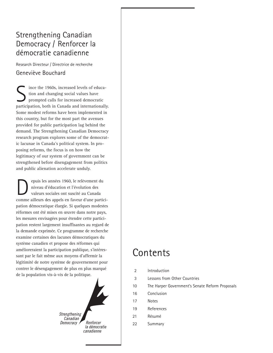### Strengthening Canadian Democracy / Renforcer la démocratie canadienne

Research Directeur / Directrice de recherche Geneviève Bouchard

ince the 1960s, increased levels of education and changing social values have prompted calls for increased democratic participation, both in Canada and internationally. Some modest reforms have been implemented in this country, but for the most part the avenues provided for public participation lag behind the demand. The Strengthening Canadian Democracy research program explores some of the democratic lacunae in Canada's political system. In proposing reforms, the focus is on how the legitimacy of our system of government can be strengthened before disengagement from politics and public alienation accelerate unduly.

epuis les années 1960, le relèvement du niveau d'éducation et l'évolution des valeurs sociales ont suscité au Canada comme ailleurs des appels en faveur d'une participation démocratique élargie. Si quelques modestes réformes ont été mises en œuvre dans notre pays, les mesures envisagées pour étendre cette participation restent largement insuffisantes au regard de la demande exprimée. Ce programme de recherche examine certaines des lacunes démocratiques du système canadien et propose des réformes qui amélioreraient la participation publique, s'intéressant par le fait même aux moyens d'affermir la légitimité de notre système de gouvernement pour contrer le désengagement de plus en plus marqué de la population vis-à-vis de la politique.



# Contents

- 2 Introduction
- 3 Lessons from Other Countries
- 10 The Harper Government's Senate Reform Proposals
- 16 Conclusion
- 17 Notes
- 19 References
- 21 Résumé
- 22 Summary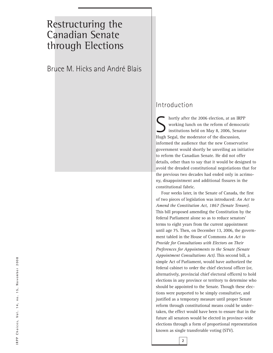## Restructuring the Canadian Senate through Elections

Bruce M. Hicks and André Blais

### Introduction

S hortly after the 2006 election, at an IRPP<br>working lunch on the reform of democratins institutions held on May 8, 2006, Senator<br>Hygh Sosial, the moderator of the discussion working lunch on the reform of democratic institutions held on May 8, 2006, Senator Hugh Segal, the moderator of the discussion, informed the audience that the new Conservative government would shortly be unveiling an initiative to reform the Canadian Senate. He did not offer details, other than to say that it would be designed to avoid the dreaded constitutional negotiations that for the previous two decades had ended only in acrimony, disappointment and additional fissures in the constitutional fabric.

Four weeks later, in the Senate of Canada, the first of two pieces of legislation was introduced: *An Act to Amend the Constitution Act, 1867 (Senate Tenure)*. This bill proposed amending the Constitution by the federal Parliament alone so as to reduce senators' terms to eight years from the current appointment until age 75. Then, on December 13, 2006, the government tabled in the House of Commons *An Act to Provide for Consultations with Electors on Their Preferences for Appointments to the Senate (Senate Appointment Consultations Act)*. This second bill, a simple Act of Parliament, would have authorized the federal cabinet to order the chief electoral officer (or, alternatively, provincial chief electoral officers) to hold elections in any province or territory to determine who should be appointed to the Senate. Though these elections were purported to be simply consultative, and justified as a temporary measure until proper Senate reform through constitutional means could be undertaken, the effect would have been to ensure that in the future all senators would be elected in province-wide elections through a form of proportional representation known as single transferable voting (STV).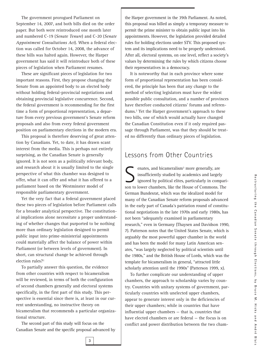The government prorogued Parliament on September 14, 2007, and both bills died on the order paper. But both were reintroduced one month later and numbered C-19 (*Senate Tenure*) and C-20 (*Senate Appointment Consultations Act*). When a federal election was called for October 14, 2008, the advance of these bills was halted again. However, the Harper government has said it will reintroduce both of these pieces of legislation when Parliament resumes.

These are significant pieces of legislation for two important reasons. First, they propose changing the Senate from an appointed body to an elected body without holding federal-provincial negotiations and obtaining provincial legislative concurrence. Second, the federal government is recommending for the first time a form of proportional representation, a departure from every previous government's Senate reform proposals and also from every federal government position on parliamentary elections in the modern era.

This proposal is therefore deserving of great attention by Canadians. Yet, to date, it has drawn scant interest from the media. This is perhaps not entirely surprising, as the Canadian Senate is generally ignored. It is not seen as a politically relevant body, and research about it is usually limited to the single perspective of what this chamber was designed to offer, what it can offer and what it has offered to a parliament based on the Westminster model of responsible parliamentary government.

Yet the very fact that a federal government placed these two pieces of legislation before Parliament calls for a broader analytical perspective. The constitutional implications alone necessitate a proper understanding of whether changes that purported to be nothing more than ordinary legislation designed to permit public input into prime-ministerial appointments could materially affect the balance of power within Parliament (or between levels of government). In short, can structural change be achieved through election rules?<sup>1</sup>

To partially answer this question, the evidence from other countries with respect to bicameralism will be reviewed, in terms of both the configuration of second chambers generally and electoral systems specifically, in the first part of this study. This perspective is essential since there is, at least in our current understanding, no instructive theory on bicameralism that recommends a particular organizational structure.

The second part of this study will focus on the Canadian Senate and the specific proposal advanced by the Harper government in the 39th Parliament. As noted, this proposal was billed as simply a temporary measure to permit the prime minister to obtain public input into his appointments. However, the legislation provided detailed rules for holding elections under STV. This proposed system and its implications need to be properly understood. After all, electoral systems, on one level, reflect a society's values by determining the rules by which citizens choose their representatives in a democracy.

It is noteworthy that in each province where some form of proportional representation has been considered, the principle has been that any change to the method of selecting legislators must have the widest possible public consultation, and a number of provinces have therefore conducted citizens' forums and referendums.2 Yet the Harper government's approach to these two bills, one of which would actually have changed the Canadian Constitution even if it only required passage through Parliament, was that they should be treated no differently than ordinary pieces of legislation.

### Lessons from Other Countries

Senates, and bicameralism<sup>3</sup> more generally, are<br>insufficiently studied by academics and largel<br>ignored by political elites, particularly in com insufficiently studied by academics and largely ignored by political elites, particularly in comparison to lower chambers, like the House of Commons. The German Bundesrat, which was the idealized model for many of the Canadian Senate reform proposals advanced in the early part of Canada's patriation round of constitutional negotiations in the late 1970s and early 1980s, has not been "adequately examined in parliamentary research," even in Germany (Thaysen and Davidson 1990, 7). Patterson notes that the United States Senate, which is arguably the most powerful upper chamber in the world and has been the model for many Latin American senates, "was largely neglected by political scientists until the 1980s," and the British House of Lords, which was the template for bicameralism in general, "attracted little scholarly attention until the 1990s" (Patterson 1999, x).

To further complicate our understanding of upper chambers, the approach to scholarship varies by country. Countries with unitary systems of government, particularly countries with unelected upper chambers, appear to generate interest only in the deficiencies of their upper chambers; while in countries that have influential upper chambers — that is, countries that have elected chambers or are federal — the focus is on conflict and power distribution between the two cham-

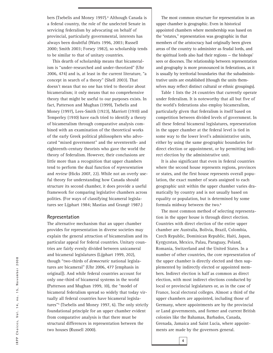bers (Tsebelis and Money 1997).<sup>4</sup> Although Canada is a federal country, the role of the unelected Senate in servicing federalism by advocating on behalf of provincial, particularly governmental, interests has always been doubtful (Watts 1996, 2003; Russell 2000; Smith 2003; Forsey 1982), so scholarship tends to be similar to that of unitary countries.

This dearth of scholarship means that bicameralism is "under-researched and under-theorized" (Uhr 2006, 474) and is, at least in the current literature, "a concept in search of a theory" (Shell 2003). That doesn't mean that no one has tried to theorize about bicameralism; it only means that no comprehensive theory that might be useful to our purposes exists. In fact, Patterson and Mughan (1999), Tsebelis and Money (1997), Lees-Smith (1923), Marriott (1910) and Temperley (1910) have each tried to identify a theory of bicameralism through comparative analysis combined with an examination of the theoretical works of the early Greek political philosophers who advocated "mixed government" and the seventeenth- and eighteenth-century theorists who gave the world the theory of federalism. However, their conclusions are little more than a recognition that upper chambers tend to perform the dual function of *representation* and *review* (Hicks 2007, 22). While not an overly useful theory for understanding how Canada should structure its second chamber, it does provide a useful framework for comparing legislative chambers across polities. (For ways of classifying bicameral legislatures see Lijphart 1984; Mastias and Grangé 1987.)

#### **Representation**

The alternative mechanism that an upper chamber provides for representation in diverse societies may explain the general attraction of bicameralism and its particular appeal for federal countries. Unitary countries are fairly evenly divided between unicameral and bicameral legislatures (Lijphart 1999, 202), though "two-thirds of *democratic* national legislatures are bicameral" (Uhr 2006, 477 [emphasis in original]). And while federal countries account for only one-third of bicameral systems in the world (Patterson and Mughan 1999, 10), the "model of bicameral federalism spread so widely that today virtually all federal countries have bicameral legislatures"5 (Tsebelis and Money 1997, 6). The only strictly foundational principle for an upper chamber evident from comparative analysis is that there must be structural differences in representation between the two houses (Russell 2000).

The most common structure for representation in an upper chamber is geographic. Even in historical appointed chambers where membership was based on the "estates," representation was geographic in that members of the aristocracy had originally been given areas of the country to administer as feudal lords, and the spiritual lords also had their regions — the bishops' sees or dioceses. The relationship between representation and geography is more pronounced in federations, as it is usually by territorial boundaries that the subadministrative units are established (though the units themselves may reflect distinct cultural or ethnic groupings).

Table 1 lists the 24 countries that currently operate under federalism. It is noteworthy that all but five of the world's federations also employ bicameralism, particularly given that federalism is itself based on competition between divided levels of government. In all these federal bicameral legislatures, representation in the upper chamber at the federal level is tied in some way to the lower level's administrative units, either by using the same geographic boundaries for direct election or appointment, or by permitting indirect election by the administrative unit.

It is also significant that even in federal countries where the second house represents regions, provinces or states, and the first house represents overall population, the exact number of seats assigned to each geographic unit within the upper chamber varies dramatically by country and is not usually based on equality or population, but is determined by some formula midway between the two.6

The most common method of selecting representation in the upper house is through direct election. Countries with direct election of the entire upper chamber are Australia, Bolivia, Brazil, Colombia, Czech Republic, Dominican Republic, Haiti, Japan, Kyrgyzstan, Mexico, Palau, Paraguay, Poland, Romania, Switzerland and the United States. In a number of other countries, the core representation of the upper chamber is directly elected and then supplemented by indirectly elected or appointed members. Indirect election is half as common as direct election, with most indirect elections conducted by local or provincial legislatures or, as in the case of France, local electoral colleges. Almost a third of the upper chambers are appointed, including those of Germany, where appointments are by the provincial or Land governments, and former and current British colonies like the Bahamas, Barbados, Canada, Grenada, Jamaica and Saint Lucia, where appointments are made by the governors general.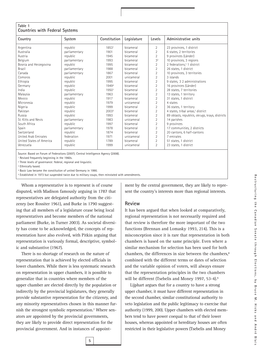#### **Table 1 Countries with Federal Systems**

| Country                  | System        | Constitution | Legislature | Levels         | Administrative units                            |
|--------------------------|---------------|--------------|-------------|----------------|-------------------------------------------------|
| Argentina                | republic      | 18531        | bicameral   | $\overline{2}$ | 23 provinces, 1 district                        |
| Australia                | parliamentary | 1901         | bicameral   | $\overline{2}$ | 6 states, 2 territories                         |
| Austria                  | republic      | 1945         | bicameral   | $\overline{2}$ | 9 provinces (Länder)                            |
| Belgium                  | parliamentary | 1993         | bicameral   | 3 <sup>2</sup> | 10 provinces, 3 regions                         |
| Bosnia and Herzegovina   | republic      | 1995         | bicameral   | $\overline{2}$ | 2 federations, <sup>3</sup> 1 district          |
| Brazil                   | parliamentary | 1988         | bicameral   | $\overline{2}$ | 26 states, 1 district                           |
| Canada                   | parliamentary | 1867         | bicameral   | $\overline{2}$ | 10 provinces, 3 territories                     |
| Comoros                  | republic      | 2001         | unicameral  | $\overline{2}$ | 3 islands                                       |
| Ethiopia                 | republic      | 1995         | bicameral   | $\overline{2}$ | 9 states, 3 2 administrations                   |
| Germany                  | republic      | 19494        | bicameral   | $\overline{2}$ | 16 provinces (Länder)                           |
| India                    | republic      | 19501        | bicameral   | $\overline{2}$ | 28 states, 7 territories                        |
| Malaysia                 | parliamentary | 1963         | bicameral   | $\overline{2}$ | 13 states, 1 territory                          |
| Mexico                   | republic      | 1917         | bicameral   | $\overline{2}$ | 31 states, 1 district                           |
| Micronesia               | republic      | 1979         | unicameral  | $\overline{2}$ | 4 states                                        |
| Nigeria                  | republic      | 1999         | bicameral   | $\overline{2}$ | 36 states, 1 territory                          |
| Pakistan                 | republic      | 20035        | bicameral   | $\overline{2}$ | 4 states, tribal areas, <sup>3</sup> district   |
| Russia                   | republic      | 1993         | bicameral   | $\overline{2}$ | 89 oblasts, republics, okrugs, krays, districts |
| St. Kitts and Nevis      | parliamentary | 1983         | unicameral  | $\overline{2}$ | 14 parishes                                     |
| South Africa             | republic      | 1997         | bicameral   | $\overline{2}$ | 9 provinces                                     |
| Spain                    | parliamentary | 1978         | bicameral   | $\overline{2}$ | 17 communities, 2 districts                     |
| Switzerland              | republic      | 1874         | bicameral   | $\overline{2}$ | 20 cantons, 6 half-cantons                      |
| United Arab Emirates     | federation    | 1971         | unicameral  | $\overline{2}$ | 7 emirates                                      |
| United States of America | republic      | 1789         | bicameral   | $\overline{2}$ | 51 states, 1 district                           |
| Venezuela                | republic      | 1999         | unicameral  | $\overline{2}$ | 23 states, 1 district                           |

Source: Based on Forum of Federations (2007); Central Intelligence Agency (2008).

Revised frequently beginning in the 1960s.

<sup>2</sup> Three levels of governance: federal, regional and linguistic.

<sup>3</sup> Ethnically based.

<sup>4</sup> Basic Law became the constitution of united Germany in 1990.

<sup>5</sup> Established in 1973 but suspended twice due to military coups, then reinstated with amendments.

Whom a representative is to represent is of course disputed, with Madison famously arguing in 1787 that representatives are delegated authority from the citizenry (see Rossiter 1961), and Burke in 1790 suggesting that all members of a legislature cease being local representatives and become members of the national parliament (Burke, in Turner 2003). As societal diversity has come to be acknowledged, the concepts of representation have also evolved, with Pitkin arguing that representation is variously formal, descriptive, symbolic and substantive (1967).

There is no shortage of research on the nature of representation that is achieved by elected officials in lower chambers. While there is less systematic research on representation in upper chambers, it is possible to generalize that in countries where members of the upper chamber are elected directly by the population or indirectly by the provincial legislatures, they generally provide substantive representation for the citizenry, and any minority representatives chosen in this manner furnish the strongest symbolic representation.7 Where senators are appointed by the provincial governments, they are likely to provide direct representation for the provincial government. And in instances of appointment by the central government, they are likely to represent the country's interests more than regional interests.

#### **Review**

It has been argued that when looked at comparatively, regional representation is not necessarily required and that review is therefore the more important of the two functions (Brennan and Lomasky 1993, 214). This is a misconception since it is rare that representation in both chambers is based on the same principle. Even where a similar mechanism for selection has been used for both chambers, the differences in size between the chambers.<sup>8</sup> combined with the different terms or dates of selection and the variable opinion of voters, will always ensure that the representation principles in the two chambers will be different (Tsebelis and Money 1997, 53-4).<sup>9</sup>

Lijphart argues that for a country to have a strong upper chamber, it must have different representation in the second chamber, similar constitutional authority to veto legislation and the public legitimacy to exercise that authority (1999, 200). Upper chambers with elected members tend to have power coequal to that of their lower houses, whereas appointed or hereditary houses are often restricted in their legislative powers (Tsebelis and Money

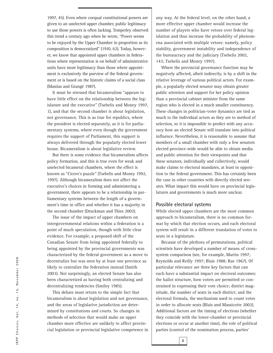1997, 45). Even where coequal constitutional powers are given to an unelected upper chamber, public legitimacy to use those powers is often lacking. Temperley observed this trend a century ago when he wrote, "Power seems to be enjoyed by the Upper Chamber in proportion as its composition is democratized" (1910, 62). Today, however, we know that appointed upper chambers in federations where representation is on behalf of administrative units have more legitimacy than those where appointment is exclusively the purview of the federal government or is based on the historic claims of a social class (Mastias and Grangé 1987).

It must be stressed that bicameralism "appears to have little effect on the relationship between the legislature and the executive" (Tsebelis and Money 1997, 1), and that the second chamber is about legislation, not governance. This is as true for republics, where the president is elected separately, as it is for parliamentary systems, where even though the government requires the support of Parliament, this support is always delivered through the popularly elected lower house. Bicameralism is about legislative review.

But there is some evidence that bicameralism affects policy formation, and this is true even for weak and unelected bicameral chambers, where the effect is known as "Cicero's puzzle" (Tsebelis and Money 1992, 1997). Although bicameralism does not affect the executive's choices in forming and administering a government, there appears to be a relationship in parliamentary systems between the length of a government's time in office and whether it has a majority in the second chamber (Druckman and Thies 2002).

The issue of the impact of upper chambers on intergovernmental relations within a federation is a point of much speculation, though with little clear evidence. For example, a proposed shift of the Canadian Senate from being appointed federally to being appointed by the provincial governments was characterized by the federal government as a move to decentralize but was seen by at least one province as likely to centralize the federation instead (Smith 2003). Not surprisingly, an elected Senate has also been characterized as having both centralizing and decentralizing tendencies (Smiley 1985).

This debate must return to the simple fact that bicameralism is about legislation and not governance, and the areas of legislative jurisdiction are determined by constitutions and courts. So changes in methods of selection that would make an upper chamber more effective are unlikely to affect provincial legislation or provincial legislative competence in

any way. At the federal level, on the other hand, a more effective upper chamber would increase the number of players who have vetoes over federal legislation and thus increase the probability of phenomena associated with multiple vetoes: namely, policy stability, government instability and independence of the bureaucracy and the judiciary (Tsebelis 2002, 143; Tsebelis and Money 1997).

Where the provincial governance function may be negatively affected, albeit indirectly, is by a shift in the relative leverage of various political actors. For example, a popularly elected senator may obtain greater public attention and support for her policy opinion than a provincial cabinet minister from the same region who is elected in a much smaller constituency. These changes in politician-voter dynamics are tied as much to the individual actors as they are to method of selection, so it is impossible to predict with any accuracy how an elected Senate will translate into political influence. Nevertheless, it is reasonable to assume that members of a small chamber with only a few senators elected province-wide would be able to obtain media and public attention for their viewpoints and that these senators, individually and collectively, would make claims to electoral mandates, at least in opposition to the federal government. This has certainly been the case in other countries with directly elected senates. What impact this would have on provincial legislatures and governments is much more unclear.

#### **Possible electoral systems**

**6**

While elected upper chambers are the most common approach to bicameralism, there is no common format by which that election occurs, and each electoral system will result in a different translation of votes to seats in a legislature.

Because of the plethora of permutations, political scientists have developed a number of means of crosssystem comparison (see, for example, Martin 1997; Reynolds and Reilly 1997; Blais 1988; Rae 1967). Of particular relevance are three key factors that can each have a substantial impact on electoral outcomes: the ballot structure, how voters are permitted or constrained in expressing their vote choice; district magnitude, the number of seats in each district; and the electoral formula, the mechanism used to count votes in order to allocate seats (Blais and Massicotte 2002). Additional factors are the timing of elections (whether they coincide with the lower-chamber or provincial elections or occur at another time), the role of political parties (control of the nomination process, parties'

IRPP Choices, Vol. 14, no. 15, November 2008 IRPP Choices, Vol. 14, no. 15, November 2008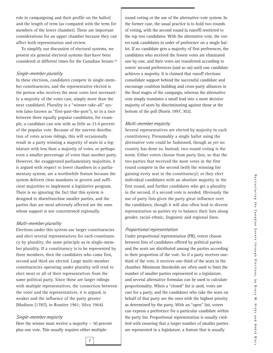role in campaigning and their profile on the ballot) and the length of term (as compared with the term for members of the lower chamber). These are important considerations for an upper chamber because they can affect both representation and review.

To simplify our discussion of electoral systems, we present six general electoral systems that have been considered at different times for the Canadian Senate.10

#### *Single-member plurality*

In these elections, candidates compete in single-member constituencies, and the representative elected is the person who receives the most votes (not necessarily a majority of the votes cast, simply more than the next candidate). Plurality is a "winner-take-all" system (also known as "first-past-the-post"), so in a race between three equally popular candidates, for example, a candidate can win with as little as 33.4 percent of the popular vote. Because of the uneven distribution of votes across ridings, this will occasionally result in a party winning a majority of seats in a legislature with less than a majority of votes, or perhaps even a smaller percentage of votes than another party. However, the exaggerated parliamentary majorities, it is argued with respect to lower chambers in a parliamentary system, are a worthwhile feature because the system delivers clear mandates to govern and sufficient majorities to implement a legislative program. There is no ignoring the fact that this system is designed to disenfranchise smaller parties, and the parties that are most adversely affected are the ones whose support is not concentrated regionally.

#### *Multi-member plurality*

Elections under this system use larger constituencies and elect several representatives for each constituency by plurality, the same principle as in single-member plurality. If a constituency is to be represented by three members, then the candidates who came first, second and third are elected. Large multi-member constituencies operating under plurality will tend to elect most or all of their representatives from the same political party. Since these are larger ridings with multiple representatives, the connection between the voter and the representatives, it is argued, is weaker and the influence of the party greater (Madison [1787], in Rossiter 1961; Silva 1964).

#### *Single-member majority*

Here the winner must receive a majority  $-50$  percent plus one vote. This usually requires either multipleround voting or the use of the alternative-vote system. In the former case, the usual practice is to hold two rounds of voting, with the second round (a runoff) restricted to the top two candidates. With the alternative vote, the voters rank candidates in order of preference on a single ballot. If no candidate gets a majority of first preferences, the candidates who received the fewest votes are eliminated one by one, and their votes are transferred according to voters' second preferences (and so on) until one candidate achieves a majority. It is claimed that runoff elections consolidate support behind the successful candidate and encourage coalition building and cross-party alliances in the final stages of the campaign, whereas the alternative vote simply translates a small lead into a more decisive majority of seats by discriminating against those at the bottom of the poll (Norris 1997, 302).

#### *Multi-member majority*

Several representatives are elected by majority in each constitutency. Presumably a single ballot using the alternative vote could be fashioned, though as yet no country has done so. Instead, two-round voting is the norm. Either voters choose from party lists, so that the two parties that received the most votes in the first round compete in the second (with the winning list gaining every seat in the constituency); or they elect individual candidates with an absolute majority in the first round, and further candidates who get a plurality in the second, if a second vote is needed. Obviously the use of party lists gives the party great influence over the candidates, though it will also often lead to diverse representation as parties try to balance their lists along gender, racial-ethnic, linguistic and regional lines.

#### *Proportional representation*

Under proportional representation (PR), voters choose between lists of candidates offered by political parties and the seats are distributed among the parties according to their proportion of the vote. So if a party receives onethird of the vote, it receives one-third of the seats in the chamber. Minimum thresholds are often used to limit the number of smaller parties represented in a legislature, and several alternative formulas can be used to calculate proportionality. When a "closed" list is used, votes are cast for a party, and the candidates who take the seats on behalf of that party are the ones with the highest priority as determined by the party. With an "open" list, voters can express a preference for a particular candidate within the party list. Proportional representation is usually credited with ensuring that a larger number of smaller parties are represented in a legislature, a feature that is usually

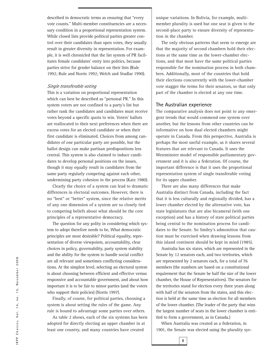described in democratic terms as ensuring that "every vote counts." Multi-member constituencies are a necessary condition in a proportional representation system. While closed lists provide political parties greater control over their candidates than open votes, they usually result in greater diversity in representation. For example, it is well chronicled that the list system of PR facilitates female candidates' entry into politics, because parties strive for gender balance on their lists (Rule 1992; Rule and Norris 1992; Welch and Studlar 1990).

#### *Single transferable voting*

This is a variation on proportional representation which can best be described as "personal PR." In this system voters are not confined to a party's list but rather rank the candidates and candidates must receive votes beyond a specific quota to win. Voters' ballots are reallocated to their next preferences when there are excess votes for an elected candidate or when their first candidate is eliminated. Choices from among candidates of one particular party are possible, but the ballot design can make partisan predispositions less central. This system is also claimed to induce candidates to develop personal positions on the issues, though it may equally result in candidates from the same party regularly competing against each other, undermining party cohesion in the process (Katz 1980).

Clearly the choice of a system can lead to dramatic differences in electoral outcomes. However, there is no "best" or "better" system, since the relative merits of any one dimension of a system are so closely tied to competing beliefs about what should be the core principles of a representative democracy.

The question for any polity in considering which system to adopt therefore needs to be, What democratic principles are most desirable? Political equality, representation of diverse viewpoints, accountability, clear choices in policy, governability, party system stability and the ability for the system to handle social conflict are all relevant and sometimes conflicting considerations. At the simplest level, selecting an electoral system is about choosing between efficient and effective versus responsive and accountable government, and about how important it is to be fair to minor parties (and the voters who support their policies) (Norris 1997).

Finally, of course, for political parties, choosing a system is about setting the rules of the game. Any rule is bound to advantage some parties over others.

As table 2 shows, each of the six systems has been adopted for directly electing an upper chamber in at least one country, and many countries have created

unique variations. In Bolivia, for example, multimember plurality is used but one seat is given to the second-place party to ensure diversity of representation in the chamber.

The only obvious patterns that seem to emerge are that the majority of second chambers hold their elections at the same time as the lower-chamber elections, and that most have the same political parties responsible for the nomination process in both chambers. Additionally, most of the countries that hold their elections concurrently with the lower-chamber vote stagger the terms for their senators, so that only part of the chamber is elected at any one time.

#### **The Australian experience**

The comparative analysis does not point to any emergent trends that would commend one system over another, but the lessons from other countries can be informative on how dual elected chambers might operate in Canada. From this perspective, Australia is perhaps the most useful example, as it shares several features that are relevant to Canada. It uses the Westminster model of responsible parliamentary government and it is also a federation. Of course, the important difference is that it uses the proportional representation system of single transferable voting for its upper chamber.

There are also many differences that make Australia distinct from Canada, including the fact that it is less culturally and regionally divided, has a lower chamber elected by the alternative vote, has state legislatures that are also bicameral (with one exception) and has a history of state political parties being central to the nomination process for candidates to the Senate. So Smiley's admonition that caution must be exercised when drawing lessons from this island continent should be kept in mind (1985).

Australia has six states, which are represented in the Senate by 12 senators each, and two territories, which are represented by 2 senators each, for a total of 76 members (the numbers are based on a constitutional requirement that the Senate be half the size of the lower chamber, the House of Representatives). The senators for the territories stand for election every three years along with half of the senators from the states, and this election is held at the same time as election for all members of the lower chamber. (The leader of the party that wins the largest number of seats in the lower chamber is entitled to form a government, as in Canada.)

When Australia was created as a federation, in 1901, the Senate was elected using the plurality sys-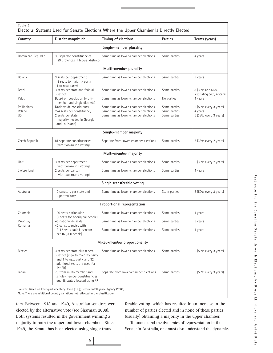| Country             | District magnitude                                                                                                                             | Timing of elections                   | Parties       | Terms (years)                                |
|---------------------|------------------------------------------------------------------------------------------------------------------------------------------------|---------------------------------------|---------------|----------------------------------------------|
|                     |                                                                                                                                                | Single-member plurality               |               |                                              |
| Dominican Republic  | 30 separate constituencies<br>(29 provinces, 1 federal district)                                                                               | Same time as lower-chamber elections  | Same parties  | 4 years                                      |
|                     |                                                                                                                                                | Multi-member plurality                |               |                                              |
| <b>Bolivia</b>      | 3 seats per department<br>(2 seats to majority party,<br>1 to next party)                                                                      | Same time as lower-chamber elections  | Same parties  | 5 years                                      |
| Brazil              | 3 seats per state and federal<br>district                                                                                                      | Same time as lower-chamber elections  | Same parties  | 8 (33% and 66%<br>alternating every 4 years) |
| Palau               | Based on population (multi-<br>member and single districts)                                                                                    | Same time as lower-chamber elections  | No parties    | 4 years                                      |
| Philippines         | Nationwide constituency                                                                                                                        | Same time as lower-chamber elections  | Same parties  | 6 (50% every 3 years)                        |
| Poland              | 2-4 seats per constituency                                                                                                                     | Same time as lower-chamber elections  | Same parties  | 4 years                                      |
| US.                 | 2 seats per state<br>(majority needed in Georgia<br>and Louisiana)                                                                             | Same time as lower-chamber elections  | Same parties  | 6 (33% every 3 years)                        |
|                     |                                                                                                                                                | Single-member majority                |               |                                              |
| Czech Republic      | 81 separate constituencies<br>(with two-round voting)                                                                                          | Separate from lower-chamber elections | Same parties  | 6 (33% every 2 years)                        |
|                     |                                                                                                                                                | Multi-member majority                 |               |                                              |
| Haiti               | 3 seats per department<br>(with two-round voting)                                                                                              | Same time as lower-chamber elections  | Same parties  | $6(33%$ every 2 years)                       |
| Switzerland         | 2 seats per canton<br>(with two-round voting)                                                                                                  | Same time as lower-chamber elections  | Same parties  | 4 years                                      |
|                     |                                                                                                                                                | Single transferable voting            |               |                                              |
| Australia           | 12 senators per state and<br>2 per territory                                                                                                   | Same time as lower-chamber elections  | State parties | 6 (50% every 3 years)                        |
|                     |                                                                                                                                                | Proportional representation           |               |                                              |
| Colombia            | 100 seats nationwide<br>(2 seats for Aboriginal people)                                                                                        | Same time as lower-chamber elections  | Same parties  | 4 years                                      |
| Paraguay<br>Romania | 45 nationwide seats<br>42 constituencies with                                                                                                  | Same time as lower-chamber elections  | Same parties  | 5 years                                      |
|                     | 2-12 seats each (1 senator<br>per 160,000 people)                                                                                              | Same time as lower-chamber elections  | Same parties  | 4 years                                      |
|                     |                                                                                                                                                | Mixed-member proportionality          |               |                                              |
| Mexico              | 3 seats per state plus federal<br>district (2 go to majority party<br>and 1 to next party, and 32<br>additional seats are used for<br>list PR) | Same time as lower-chamber elections  | Same parties  | 6 (50% every 3 years)                        |
| Japan               | 73 from multi-member and<br>single-member constituencies;<br>and 48 seats allocated using PR                                                   | Separate from lower-chamber elections | Same parties  | 6 (50% every 3 years)                        |

tem. Between 1918 and 1949, Australian senators were elected by the alternative vote (see Sharman 2008). Both systems resulted in the government winning a majority in both the upper and lower chambers. Since 1949, the Senate has been elected using single transferable voting, which has resulted in an increase in the number of parties elected and in none of these parties (usually) obtaining a majority in the upper chamber.

To understand the dynamics of representation in the Senate in Australia, one must also understand the dynamics

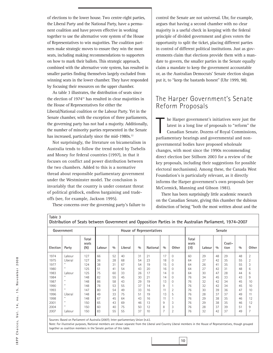of elections to the lower house. Two centre-right parties, the Liberal Party and the National Party, have a permanent coalition and have proven effective in working together to use the alternative vote system of the House of Representatives to win majorities. The coalition partners make strategic moves to ensure they win the most seats, including making recommendations to supporters on how to mark their ballots. This strategic approach, combined with the alternative vote system, has resulted in smaller parties finding themselves largely excluded from winning seats in the lower chamber. They have responded by focusing their resources on the upper chamber.

As table 3 illustrates, the distribution of seats since the election of 1974<sup>11</sup> has resulted in clear majorities in the House of Representatives for either the Liberal/National coalition or the Labour Party. Yet in the Senate chamber, with the exception of three parliaments, the governing party has not had a majority. Additionally, the number of minority parties represented in the Senate has increased, particularly since the mid-1980s.<sup>12</sup>

Not surprisingly, the literature on bicameralism in Australia tends to follow the trend noted by Tsebelis and Money for federal countries (1997), in that it focuses on conflict and power distribution between the two chambers. Added to this is a normative thread about responsible parliamentary government under the Westminster model. The conclusion is invariably that the country is under constant threat of political gridlock, endless bargaining and tradeoffs (see, for example, Jackson 1995).

These concerns over the governing party's failure to

control the Senate are not universal. Uhr, for example, argues that having a second chamber with no clear majority is a useful check in keeping with the federal principle of divided government and gives voters the opportunity to split the ticket, placing different parties in control of different political institutions. Just as governments claim that elections provide them with a mandate to govern, the smaller parties in the Senate equally claim a mandate to keep the government accountable or, as the Australian Democrats' Senate election slogan put it, to "keep the bastards honest" (Uhr 1999, 98).

#### The Harper Government's Senate Reform Proposals

 $\begin{array}{c} \hline \end{array}$ he Harper government's initiatives were just the latest in a long line of proposals to "reform" the Canadian Senate. Dozens of Royal Commissions, parliamentary hearings and governmental and nongovernmental bodies have proposed wholesale changes, with most since the 1990s recommending direct election (see Stilborn 2003 for a review of the key proposals, including their suggestions for possible electoral mechanisms). Among these, the Canada West Foundation's is particularly relevant, as it directly informs the Harper government's own proposals (see McCormick, Manning and Gibson 1981).

There has been surprisingly little academic research on the Canadian Senate, giving this chamber the dubious distinction of being "both the most written about and the

| Government |              |                       | House of Representatives |     |         |     |          | <b>Senate</b> |                |                       |        |     |                |     |                |
|------------|--------------|-----------------------|--------------------------|-----|---------|-----|----------|---------------|----------------|-----------------------|--------|-----|----------------|-----|----------------|
| Election   | Party        | Total<br>seats<br>(N) | Labour                   | 0/0 | Liberal | 0/0 | National | 0/0           | Other          | Total<br>seats<br>(M) | Labour | 0/0 | Coali-<br>tion | 0/0 | Other          |
| 1974       | Labour       | 127                   | 66                       | 52  | 40      | 31  | 21       | 17            | $\Omega$       | 60                    | 29     | 48  | 29             | 48  | $\overline{2}$ |
| 1975       | Liberal      | 127                   | 36                       | 28  | 68      | 54  | 23       | 18            | $\mathbf{0}$   | 64                    | 27     | 42  | 35             | 55  | $\overline{2}$ |
| 1977       | $\mathbf{u}$ | 124                   | 38                       | 31  | 67      | 54  | 19       | 15            | $\Omega$       | 64                    | 26     | 41  | 35             | 55  | 3              |
| 1980       | $\mathbf{u}$ | 125                   | 51                       | 41  | 54      | 43  | 20       | 16            | $\mathbf{0}$   | 64                    | 27     | 42  | 31             | 48  | 6              |
| 1983       | Labour       | 125                   | 75                       | 60  | 33      | 26  | 17       | 14            | $\Omega$       | 64                    | 30     | 47  | 28             | 44  | 6              |
| 1984       | $\mathbf{u}$ | 148                   | 82                       | 55  | 45      | 30  | 21       | 14            | $\mathbf{0}$   | 76                    | 34     | 45  | 33             | 43  | 9              |
| 1987       | $\mathbf{u}$ | 148                   | 86                       | 58  | 43      | 29  | 19       | 13            | $\mathbf 0$    | 76                    | 32     | 42  | 34             | 45  | 10             |
| 1990       | $\mathbf{H}$ | 148                   | 78                       | 53  | 55      | 37  | 14       | 9             |                | 76                    | 32     | 42  | 34             | 45  | 10             |
| 1993       | $\mathbf{u}$ | 147                   | 80                       | 54  | 49      | 33  | 16       | 11            | $\overline{2}$ | 76                    | 30     | 39  | 36             | 47  | 10             |
| 1996       | Liberal      | 148                   | 49                       | 33  | 75      | 51  | 19       | 13            | 5              | 76                    | 28     | 37  | 37             | 49  | 11             |
| 1998       | $\mathbf{u}$ | 148                   | 67                       | 45  | 64      | 43  | 16       | 11            |                | 76                    | 29     | 38  | 35             | 46  | 12             |
| 2001       | $\mathbf{u}$ | 150                   | 65                       | 43  | 69      | 46  | 13       | 9             | 3              | 76                    | 29     | 38  | 35             | 46  | 12             |
| 2004       | $\mathbf{u}$ | 150                   | 60                       | 40  | 75      | 50  | 12       | 8             | 3              | 76                    | 28     | 37  | 39             | 51  | 9              |
| 2007       | Labour       | 150                   | 83                       | 55  | 55      | 37  | 10       | 7             | 2              | 76                    | 32     | 42  | 37             | 49  | $\overline{7}$ |

Sources: Based on Parliament of Australia (2007); Inter-parliamentary Union (n.d.).

Note: For illustrative purposes, National members are shown separate from the Liberal and Country Liberal members in the House of Representatives, though grouped together as coalition members in the Senate portion of this table.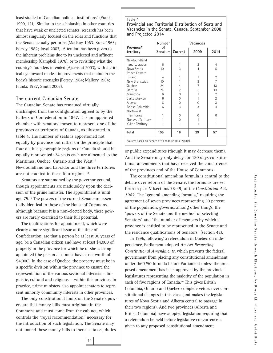least studied of Canadian political institutions" (Franks 1999, 121). Similar to the scholarship in other countries that have weak or unelected senates, research has been almost singularly focused on the roles and functions that the Senate actually performs (MacKay 1963; Kunz 1965; Forsey 1982; Joyal 2003). Attention has been given to the inherent problems due to its unelected and affluent membership (Campbell 1978), or to revisiting what the country's founders intended (Ajzenstat 2003), with a critical eye toward modest improvements that maintain the body's historic strengths (Forsey 1984; Mallory 1984; Franks 1987; Smith 2003).

#### **The current Canadian Senate**

The Canadian Senate has remained virtually unchanged from the configuration agreed to by the Fathers of Confederation in 1867. It is an appointed chamber with senators chosen to represent one of the provinces or territories of Canada, as illustrated in table 4. The number of seats is apportioned not equally by province but rather on the principle that four distinct geographic regions of Canada should be equally represented: 24 seats each are allocated to the Maritimes, Quebec, Ontario and the West.<sup>13</sup> Newfoundland and Labrador and the three territories are not counted in these four regions.14

Senators are summoned by the governor general, though appointments are made solely upon the decision of the prime minister. The appointment is until age 75.<sup>15</sup> The powers of the current Senate are essentially identical to those of the House of Commons, although because it is a non-elected body, these powers are rarely exercised to their full potential.

The qualifications for appointment, which were clearly a more significant issue at the time of Confederation, are that a person be at least 30 years of age, be a Canadian citizen and have at least \$4,000 of property in the province for which he or she is being appointed (the person also must have a net worth of \$4,000). In the case of Quebec, the property must be in a specific division within the province to ensure the representation of the various sectional interests — linguistic, cultural and religious — within this province. In practice, prime ministers also appoint senators to represent minority community interests in other provinces.

The only constitutional limits on the Senate's powers are that money bills must originate in the Commons and must come from the cabinet, which controls the "royal recommendation" necessary for the introduction of such legislation. The Senate may not amend these money bills to increase taxes, duties

#### **Table 4**

**Provincial and Territorial Distribution of Seats and Vacancies in the Senate, Canada, September 2008 and Projected 2014**

|                                                   | Number<br>of   | Vacancies      |                |                |  |  |  |
|---------------------------------------------------|----------------|----------------|----------------|----------------|--|--|--|
| Province/<br>territory                            | Senators l     | Current        | 2009           | 2014           |  |  |  |
| Newfoundland                                      |                |                |                |                |  |  |  |
| and Labrador                                      | 6              | 1              | $\overline{2}$ | 4              |  |  |  |
| Nova Scotia                                       | 10             | 3              | $\overline{4}$ | 5              |  |  |  |
| Prince Edward                                     |                |                |                |                |  |  |  |
| Island                                            | $\overline{4}$ | 1              | 1              | 2              |  |  |  |
| New Brunswick                                     | 10             | 1              | 3              | $\overline{7}$ |  |  |  |
| Quebec                                            | 24             | $\overline{4}$ | $\overline{7}$ | 13             |  |  |  |
| Ontario                                           | 24             | $\overline{2}$ | 5              | 13             |  |  |  |
| Manitoba                                          | 6              | $\Omega$       | 1              | $\overline{2}$ |  |  |  |
| Saskatchewan                                      | 6              | $\Omega$       | 1              | $\overline{2}$ |  |  |  |
| Alberta                                           | 6              | 0              | 0              | 3              |  |  |  |
| British Columbia                                  | 6              | 3              | 3              | $\overline{4}$ |  |  |  |
| Northwest                                         |                |                |                |                |  |  |  |
| Territories                                       | 1              | 0              | 0              | O              |  |  |  |
| Nunavut Territory                                 |                | $\Omega$       | 1              |                |  |  |  |
| Yukon Territory                                   |                | 1              |                |                |  |  |  |
| Total                                             | 105            | 16             | 29             | 57             |  |  |  |
| Source: Based on Senate of Canada (2008a, 2008b). |                |                |                |                |  |  |  |

or public expenditures (though it may decrease them). And the Senate may only delay for 180 days constitutional amendments that have received the concurrence of the provinces and of the House of Commons.

The constitutional amending formula is central to the debate over reform of the Senate; the formulas are set forth in part V (sections 38-49) of the *Constitution Act, 1982*. The "general amending formula," requiring the agreement of seven provinces representing 50 percent of the population, governs, among other things, the "powers of the Senate and the method of selecting Senators" and "the number of members by which a province is entitled to be represented in the Senate and the residence qualifications of Senators" (section 42).

In 1996, following a referendum in Quebec on independence, Parliament adopted *An Act Respecting Constitutional Amendments*, which prevents the federal government from placing any constitutional amendment under the 7/50 formula before Parliament unless the proposed amendment has been approved by the provincial legislatures representing the majority of the population in each of five regions of Canada.16 This gives British Columbia, Ontario and Quebec complete vetoes over constitutional changes in this class (and makes the legislatures of Nova Scotia and Alberta central to passage in their two regions). And two provinces (Alberta and British Columbia) have adopted legislation requiring that a referendum be held before legislative concurrence is given to any proposed constitutional amendment.

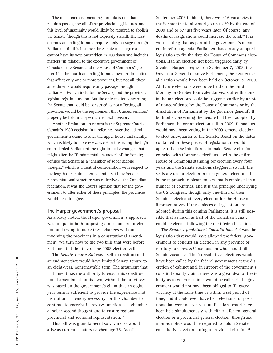The most onerous amending formula is one that requires passage by all of the provincial legislatures, and this level of unanimity would likely be required to abolish the Senate (though this is not expressly stated). The least onerous amending formula requires only passage through Parliament (in this instance the Senate must agree and cannot have its vote overridden in 180 days) and includes matters "in relation to the executive government of Canada or the Senate and the House of Commons" (section 44). The fourth amending formula pertains to matters that affect only one or more provinces, but not all; these amendments would require only passage through Parliament (which includes the Senate) and the provincial legislature(s) in question. But the only matter concerning the Senate that could be construed as not affecting all provinces would be the requirement that Quebec senators' property be held in a specific electoral division.

Another limitation on reform is the Supreme Court of Canada's 1980 decision in a reference over the federal government's desire to alter the upper house unilaterally, which is likely to have relevance.<sup>17</sup> In this ruling the high court denied Parliament the right to make changes that might alter the "fundamental character" of the Senate; it defined the Senate as a "chamber of sober second thought," which is a central consideration with respect to the length of senators' terms; and it said the Senate's representational structure was reflective of the Canadian federation. It was the Court's opinion that for the government to alter either of these principles, the provinces would need to agree.

#### **The Harper government's proposal**

As already noted, the Harper government's approach was unique in both proposing a mechanism for election and trying to make these changes without involving the provinces in a constitutional amendment. We turn now to the two bills that were before Parliament at the time of the 2008 election call.

The *Senate Tenure Bill* was itself a constitutional amendment that would have limited Senate tenure to an eight-year, nonrenewable term. The argument that Parliament has the authority to enact this constitutional amendment on its own, without the provinces, was based on the government's claim that an eightyear term is sufficient to provide the experience and institutional memory necessary for this chamber to continue to exercise its review function as a chamber of sober second thought and to ensure regional, provincial and sectional representation.18

This bill was grandfathered so vacancies would arise as current senators reached age 75. As of

September 2008 (table 4), there were 16 vacancies in the Senate; the total would go up to 29 by the end of 2009 and to 57 just five years later. Of course, any deaths or resignations could increase the total.19 It is worth noting that as part of the government's democratic reform agenda, Parliament has already adopted legislation to fix the date for House of Commons elections. Had an election not been triggered early by Stephen Harper's request on September 7, 2008, the Governor General dissolve Parliament, the next general election would have been held on October 19, 2009. All future elections were to be held on the third Monday in October four calendar years after this one (although elections could be triggered earlier by a vote of nonconfidence by the House of Commons or by the dissolution of Parliament by the governor general). If both bills concerning the Senate had been adopted by Parliament before an election call in 2009, Canadians would have been voting in the 2009 general election to elect one-quarter of the Senate. Based on the dates contained in these pieces of legislation, it would appear that the intention is to make Senate elections coincide with Commons elections – with the entire House of Commons standing for election every four years and the Senate elections staggered, so half the seats are up for election in each general election. This is the approach to bicameralism that is employed in a number of countries, and it is the principle underlying the US Congress, though only one-third of their Senate is elected at every election for the House of Representatives. If these pieces of legislation are adopted during this coming Parliament, it is still possible that as much as half of the Canadian Senate could be elected following the next federal election.

The *Senate Appointment Consultations Act* was the legislation that would have allowed the federal government to conduct an election in any province or territory to canvass Canadians on who should fill Senate vacancies. The "consultative" elections would have been called by the federal government at the discretion of cabinet and, in support of the government's constitutionality claim, there was a great deal of flexibility as to when elections would be called.<sup>20</sup> The government would not have been obliged to fill every vacancy at the same time or within a set period of time, and it could even have held elections for positions that were not yet vacant. Elections could have been held simultaneously with either a federal general election or a provincial general election, though six months notice would be required to hold a Senate consultative election during a provincial election.21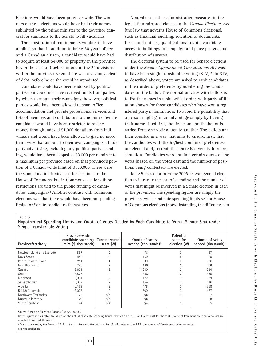Elections would have been province-wide. The winners of these elections would have had their names submitted by the prime minister to the governor general for summons to the Senate to fill vacancies.

The constitutional requirements would still have applied, so that in addition to being 30 years of age and a Canadian citizen, a candidate would have had to acquire at least \$4,000 of property in the province (or, in the case of Quebec, in one of the 24 divisions within the province) where there was a vacancy, clear of debt, before he or she could be appointed.

Candidates could have been endorsed by political parties but could not have received funds from parties by which to mount their campaigns; however, political parties would have been allowed to share office accommodation and provide professional services and lists of members and contributors to a nominee. Senate candidates would have been restricted to raising money through indexed \$1,000 donations from individuals and would have been allowed to give no more than twice that amount to their own campaigns. Thirdparty advertising, including any political party spending, would have been capped at \$3,000 per nominee to a maximum per province based on that province's portion of a Canada-wide limit of \$150,000. These were the same donation limits used for elections to the House of Commons, but in Commons elections these restrictions are tied to the public funding of candidates' campaigns.22 Another contrast with Commons elections was that there would have been no spending limits for Senate candidates themselves.

A number of other administrative measures in the legislation mirrored clauses in the *Canada Elections Act* (the law that governs House of Commons elections), such as financial auditing, retention of documents, forms and notices, qualifications to vote, candidate access to buildings to campaign and place posters, and distribution of surveys.

The electoral system to be used for Senate elections under the *Senate Appointment Consultations Act* was to have been single transferable voting (STV).<sup>23</sup> In STV, as described above, voters are asked to rank candidates in their order of preference by numbering the candidates on the ballot. The normal practice with ballots is to list the names in alphabetical order, with party affiliation shown for those candidates who have won a registered party's nomination. To avoid the possibility that a person might gain an advantage simply by having their name listed first, the first name on the ballot is varied from one voting area to another. The ballots are then counted in a way that aims to ensure, first, that the candidates with the highest combined preferences are elected and, second, that there is diversity in representation. Candidates who obtain a certain quota of the votes (based on the votes cast and the number of positions being contested) are elected.

Table 5 uses data from the 2006 federal general election to illustrate the sort of spending and the number of votes that might be involved in a Senate election in each of the provinces. The spending figures are simply the provinces-wide candidate spending limits set for House of Commons elections (notwithstanding the differences in

| Single transferable voting |                                                                             |           |                                                   |                                        |                                                   |  |  |  |
|----------------------------|-----------------------------------------------------------------------------|-----------|---------------------------------------------------|----------------------------------------|---------------------------------------------------|--|--|--|
| Province/territory         | Province-wide<br>candidate spending Current vacant<br>limits (\$ thousands) | seats (M) | Quota of votes<br>needed (thousands) <sup>1</sup> | Potential<br>seats for<br>election (M) | Quota of votes<br>needed (thousands) <sup>1</sup> |  |  |  |
| Newfoundland and Labrador  | 557                                                                         |           | 76                                                | 3                                      | 57                                                |  |  |  |
| Nova Scotia                | 842                                                                         |           | 159                                               | 5                                      | 80                                                |  |  |  |
| Prince Edward Island       | 251                                                                         |           | 39                                                |                                        | 26                                                |  |  |  |
| New Brunswick              | 746                                                                         |           | 136                                               | 5                                      | 68                                                |  |  |  |
| Quebec                     | 5,931                                                                       |           | 1,230                                             | 12                                     | 294                                               |  |  |  |
| Ontario                    | 8,576                                                                       |           | 1,886                                             | 12                                     | 435                                               |  |  |  |
| Manitoba                   | 1,084                                                                       |           | 172                                               |                                        | 129                                               |  |  |  |
| Saskatchewan               | 1,082                                                                       |           | 154                                               |                                        | 116                                               |  |  |  |
| Alberta                    | 2,169                                                                       |           | 478                                               |                                        | 358                                               |  |  |  |
| British Columbia           | 3,028                                                                       |           | 609                                               |                                        | 457                                               |  |  |  |
| Northwest Territories      | 76                                                                          | n/a       | n/a                                               |                                        |                                                   |  |  |  |
| Nunavut Territory          | 79                                                                          | n/a       | n/a                                               |                                        | 8                                                 |  |  |  |
| Yukon Territory            | 74                                                                          | n/a       | n/a                                               |                                        | 5                                                 |  |  |  |
|                            |                                                                             |           |                                                   |                                        |                                                   |  |  |  |

**Table 5 Hypothetical Spending Limits and Quota of Votes Needed by Each Candidate to Win a Senate Seat under Single Transferable Voting**

Source: Based on Elections Canada (2006a, 2006b).

Note: Figures in this table are based on the actual candidate spending limits, electors on the list and votes cast for the 2006 House of Commons election. Amounts are rounded to nearest thousand.

<sup>1</sup> This quota is set by the formula  $A / (B + 1) + 1$ , where A is the total number of valid votes cast and B is the number of Senate seats being contested. n/a not applicable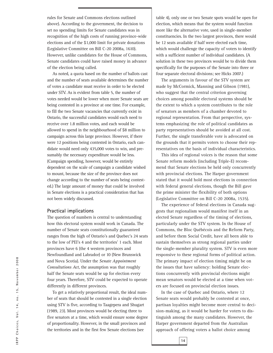rules for Senate and Commons elections outlined above). According to the government, the decision to set no spending limits for Senate candidates was in recognition of the high costs of running province-wide elections and of the \$1,000 limit for private donations (Legislative Committee on Bill C-20 2008a, 1610). However, unlike candidates for the House of Commons, Senate candidates could have raised money in advance of the election being called.

As noted, a quota based on the number of ballots cast and the number of seats available determines the number of votes a candidate must receive in order to be elected under STV. As is evident from table 5, the number of votes needed would be lower when more Senate seats are being contested in a province at one time. For example, to fill the two Senate vacancies that currently exist in Ontario, the successful candidates would each need to receive over 1.8 million votes, and each would be allowed to spend in the neighbourhood of \$8 million to campaign across this large province. However, if there were 12 positions being contested in Ontario, each candidate would need only 435,000 votes to win, and presumably the necessary expenditure would be less. (Campaign spending, however, would be entirely dependent on the scale of campaign a candidate wished to mount, because the size of the province does not change according to the number of seats being contested.) The large amount of money that could be involved in Senate elections is a practical consideration that has not been widely discussed.

#### **Practical implications**

The question of numbers is central to understanding how this electoral system would work in Canada. The number of Senate seats constitutionally guaranteed ranges from the high of Ontario's and Quebec's 24 seats to the low of PEI's 4 and the territories' 1 each. Most provinces have 6 (the 4 western provinces and Newfoundland and Labrador) or 10 (New Brunswick and Nova Scotia). Under the *Senate Appointment Consultations Act*, the assumption was that roughly half the Senate seats would be up for election every four years. Therefore, STV could be expected to operate differently in different provinces.

To get a relatively proportional result, the ideal number of seats that should be contested in a single election using STV is five, according to Taagepera and Shugart (1989, 23). Most provinces would be electing three to five senators at a time, which would ensure some degree of proportionality. However, in the small provinces and the territories and in the first few Senate elections (see

table 4), only one or two Senate spots would be open for election, which means that the system would function more like the alternative vote, used in single-member constituencies. In the two largest provinces, there would be 12 seats available if half were elected each time, which would challenge the capacity of voters to identify with a sufficient number of individual candidates. (A solution in these two provinces would be to divide them specifically for the purposes of the Senate into three or four separate electoral divisions; see Hicks 2007.)

The arguments in favour of the STV system are made by McCormick, Manning and Gibson (1981), who suggest that the central criterion governing choices among possible electoral systems should be the extent to which a system contributes to the role of senators as members of a chamber devoted to regional representation. From that perspective, systems emphasizing the role of political candidates as party representatives should be avoided at all cost. Further, the single transferable vote is advocated on the grounds that it permits voters to choose their representatives on the basis of individual characteristics.

This idea of regional voices is the reason that some Senate reform models (including Triple-E) recommend that Senate elections be held only concurrently with provincial elections. The Harper government stated that it would hold most elections in connection with federal general elections, though the Bill gave the prime minister the flexibility of both options (Legislative Committee on Bill C-20 2008a, 1535).

The experience of federal elections in Canada suggests that regionalism would manifest itself in an elected Senate regardless of the timing of elections, particularly under the STV system. In the House of Commons, the Bloc Québécois and the Reform Party, and before them Social Credit, have all been able to sustain themselves as strong regional parties under the single-member plurality system. STV is even more responsive to these regional forms of political action. The primary impact of election timing might be on the issues that have saliency: holding Senate elections concurrently with provincial elections might mean senators would be elected at a time when voters are focused on provincial election issues.

In the case of Quebec and Ontario, where 12 Senate seats would probably be contested at once, partisan loyalties might become more central to decision-making, as it would be harder for voters to distinguish among the many candidates. However, the Harper government departed from the Australian approach of offering voters a ballot choice among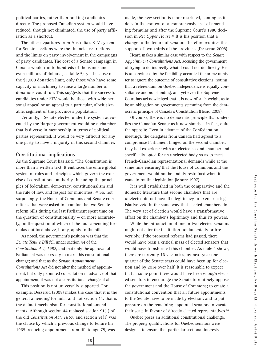political parties, rather than ranking candidates directly. The proposed Canadian system would have reduced, though not eliminated, the use of party affiliation as a shortcut.

The other departures from Australia's STV system for Senate elections were the financial restrictions and the limits on party involvement in the campaigns of party candidates. The cost of a Senate campaign in Canada would run to hundreds of thousands and even millions of dollars (see table 5), yet because of the \$1,000 donation limit, only those who have some capacity or machinery to raise a large number of donations could run. This suggests that the successful candidates under STV would be those with wide personal appeal or an appeal to a particular, albeit sizeable, segment of the province's population.

Certainly, a Senate elected under the system advocated by the Harper government would be a chamber that is diverse in membership in terms of political parties represented. It would be very difficult for any one party to have a majority in this second chamber.

#### **Constitutional implications**

As the Supreme Court has said, "The Constitution is more than a written text. It embraces the entire global system of rules and principles which govern the exercise of constitutional authority...including the principles of federalism, democracy, constitutionalism and the rule of law, and respect for minorities."24 So, not surprisingly, the House of Commons and Senate committees that were asked to examine the two Senate reform bills during the last Parliament spent time on the question of constitutionality  $-$  or, more accurately, on the question of which of the four amending formulas outlined above, if any, apply to the bills.

As noted, the government's position was that the *Senate Tenure Bill* fell under section 44 of the *Constitution Act, 1982*, and that only the approval of Parliament was necessary to make this constitutional change; and that as the *Senate Appointment Consultations Act* did not alter the method of appointment, but only permitted consultation in advance of that appointment, it was not a constitutional change at all.

This position is not universally supported. For example, Desserud (2008) makes the case that it is the general amending formula, and not section 44, that is the default mechanism for constitutional amendments. Although section 44 replaced section 91(1) of the old *Constitution Act, 1867*, and section 91(1) was the clause by which a previous change to tenure (in 1965, reducing appointment from life to age 75) was

made, the new section is more restricted, coming as it does in the context of a comprehensive set of amending formulas and after the Supreme Court's 1980 decision in *Re: Upper House*. <sup>25</sup> It is his position that a change to the tenure of senators therefore requires the support of two-thirds of the provinces (Desserud 2008).

Heard makes a similar case with respect to the *Senate Appointment Consultations Act*, accusing the government of trying to do indirectly what it could not do directly. He is unconvinced by the flexibility accorded the prime minister to ignore the outcome of consultative elections, noting that a referendum on Quebec independence is equally consultative and non-binding, and yet even the Supreme Court has acknowledged that it is now of such weight as to be an obligation on governments stemming from the democratic principle of Canada's Constitution (Heard 2008).

Of course, there is no democratic principle that underlies the Canadian Senate as it now stands — in fact, quite the opposite. Even in advance of the Confederation meetings, the delegates from Canada had agreed to a compromise Parliament hinged on the second chamber: they had experience with an elected second chamber and specifically opted for an unelected body so as to meet French-Canadian representational demands while at the same time ensuring that the House of Commons and the government would not be unduly restrained when it came to routine legislation (Moore 1997).

It is well established in both the comparative and the domestic literature that second chambers that are unelected do not have the legitimacy to exercise a legislative veto in the same way that elected chambers do. The very act of election would have a transformative effect on the chamber's legitimacy and thus its powers.

While the introduction of one or two elected senators might not alter the institution fundamentally or irreversibly, if the proposed reforms had passed, there would have been a critical mass of elected senators that would have transformed this chamber. As table 4 shows, there are currently 16 vacancies; by next year onequarter of the Senate seats could have been up for election and by 2014 over half. It is reasonable to expect that at some point there would have been enough elected senators to encourage the Senate to routinely oppose the government and the House of Commons; to create a constitutional convention that all future appointments to the Senate have to be made by election; and to put pressure on the remaining appointed senators to vacate their seats in favour of directly elected representatives.26

Quebec poses an additional constitutional challenge. The property qualifications for Quebec senators were designed to ensure that particular sectional interests

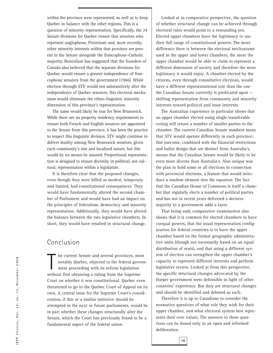within the province were represented, as well as to keep Quebec in balance with the other regions. This is a question of minority representation. Specifically, the 24 Senate divisions for Quebec ensure that senators who represent anglophone, Protestant and, more recently, other minority interests within that province are present in the Senate alongside the francophone-Catholic majority. Bonenfant has suggested that the founders of Canada also believed that the separate divisions for Quebec would ensure a greater independence of francophone senators from the government (1966). While election through STV would not substantively alter the independence of Quebec senators, this electoral mechanism would eliminate the ethno-linguistic minority dimension of this province's representation.

The same would likely be true for New Brunswick. While there are no property residency requirements to ensure both French and English senators are appointed to the Senate from this province, it has been the practice to respect this linguistic division. STV might continue to deliver duality among New Brunswick senators, given each community's size and localized nature, but this would by no means be assured. Proportional representation is designed to ensure diversity in *political*, not cultural, representation within a legislature.

It is therefore clear that the proposed changes, even though they were billed as modest, temporary and limited, had constitutional consequences. They would have fundamentally altered the second chamber of Parliament and would have had an impact on the principles of federalism, democracy and minority representation. Additionally, they would have altered the balance between the two legislative chambers. In short, they would have resulted in structural change.

#### Conclusion

 $\begin{array}{c} \hline \end{array}$ he current Senate and several provinces, most notably Quebec, objected to the federal government proceeding with its reform legislation without first obtaining a ruling from the Supreme Court on whether it was constitutional. Quebec even threatened to go to the Quebec Court of Appeal on its own. A central issue for the Supreme Court's consideration, if this or a similar initiative should be attempted in the next or future parliaments, would be in part whether these changes structurally alter the Senate, which the Court has previously found to be a fundamental aspect of the federal union.

Looked at in comparative perspective, the question of whether structural change can be achieved through electoral rules would point to a resounding yes. Elected upper chambers have the legitimacy to use their full range of constitutional powers. The more difference there is between the electoral mechanisms used in the upper and lower chambers, the more the upper chamber would be able to claim to represent a different dimension of society and therefore the more legitimacy it would enjoy. A chamber elected by the citizens, even through consultative elections, would have a different representational role than the one the Canadian Senate currently is predicated upon shifting representation from community and minority interests toward political and issue interests.

The Australian experience in particular shows that an upper chamber elected using single transferable voting will return a number of smaller parties to the chamber. The current Canadian Senate numbers mean that STV would operate differently in each province; this outcome, combined with the financial restrictions and ballot design that are distinct from Australia's, means that the Canadian Senate would be likely to be even more diverse than Australia's. Also unique was the plan to hold some or all elections in connection with provincial elections, a feature that would introduce a random element into the equation. The fact that the Canadian House of Commons is itself a chamber that regularly elects a number of political parties and has not in recent years delivered a decisive majority to a government adds a layer.

That being said, comparative examination also shows that it is common for elected chambers to have coequal powers, that the usual representation configuration for federal countries is to have the upper chamber based on the formal geographic administrative units (though not necessarily based on an equal distribution of seats), and that using a different system of election can strengthen the upper chamber's capacity to represent different interests and perform legislative review. Looked at from this perspective, the specific structural changes advocated by the Harper government were defensible in light of other countries' experience. But they are structural changes and should be identified and debated as such.

Therefore it is up to Canadians to consider the normative questions of what role they wish for their upper chamber, and what electoral system best represents their core values. The answers to these questions can be found only in an open and informed deliberation.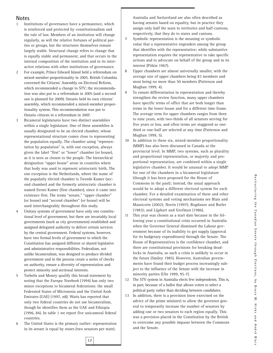#### **Notes**

- 1 Institutions of governance have a permanence, which is reinforced and protected by constitutionalism and the rule of law. Members of an institution will change regularly, as will the relative fortunes of political parties or groups, but the structures themselves remain largely stable. Structural change refers to change that is equally stable and permanent, and that occurs in the internal composition of the institution and in its interactive relations with other institutions of governance.
- 2 For example, Prince Edward Island held a referendum on mixed-member proportionality in 2005. British Columbia convened the Citizens' Assembly on Electoral Reform, which recommended a change to STV; the recommendation was also put to a referendum in 2005 (and a second one is planned for 2009). Ontario held its own citizens' assembly, which recommended a mixed-member proportionality system. This recommendation was put to Ontario citizens in a referendum in 2007.
- 3 Bicameral legislatures have two distinct assemblies within a single legislature. One of these assemblies is usually designated to be an elected chamber, whose representational structure comes close to representing the population equally. The chamber using "representation by population" is, with one exception, always given the label "first" or "lower" chamber (or house), as it is seen as closest to the people. The hierarchical designation "upper house" arose in countries where that body was used to represent aristocratic birth. The one exception is the Netherlands, where the name of the popularly elected chamber is Tweede Kamer (second chamber) and the formerly aristocratic chamber is named Eerste Kamer (first chamber), since it came into existence first. The terms "senate," "upper chamber" (or house) and "second chamber" (or house) will be used interchangeably throughout this study.
- 4 Unitary systems of government have only one constitutional level of government, but there are invariably local governments (such as city governments) established and assigned delegated authority to deliver certain services by the central government. Federal systems, however, have two formal levels of government to which the Constitution has assigned different or shared legislative and administrative responsibilities. Federalism, not unlike bicameralism, was designed to produce divided government and in the process create a series of checks on authority, ensure a diversity of representation and protect minority and sectional interests.
- 5 Tsebelis and Money qualify this broad statement by noting that the *Europa Yearbook* (1994) has only two minor exceptions to bicameral federations: the small Federated States of Micronesia and the United Arab Emirates (UAE) (1997, n8). Watts has reported that only two federal countries do not use bicameralism, though he identifies them as the UAE and Ethiopia (1996, 84). In table 1 we report five unicameral federal countries.
- 6 The United States is the primary outlier: representation in its senate is equal by states (two senators per state).

Australia and Switzerland are also often described as having senates based on equality, but in practice they assign only half the seats to territories and half-cantons, respectively, that they do to states and cantons.

- 7 Symbolic representation is the meaning or symbolic value that a representative engenders among the group that identifies with the representative; while substantive representation requires the representative to take specific actions and to advocate on behalf of the group and in its interest (Pitkin 1967).
- 8 Upper chambers are almost universally smaller, with the average size of upper chambers being 83 members and most being no more than 50 members (Patterson and Mughan 1999, 4).
- 9 To ensure differentiation in representation and thereby strengthen the review function, many upper chambers have specific terms of office that are both longer than terms in the lower house and for a different time frame. The average term for upper chambers ranges from three to nine years, with two-thirds of all senators serving for five years or less, and often terms are staggered so onethird or one-half are selected at any time (Patterson and Mughan 1999, 5).
- 10 In addition to these six, mixed-member proportionality (MMP) has also been discussed in Canada at the provincial level. In MMP, two systems, such as plurality and proportional representation, or majority and proportional representation, are combined within a single legislative chamber. It would be unusual to adopt MMP for one of the chambers in a bicameral legislature (though it has been proposed for the House of Commons in the past); instead, the usual approach would be to adopt a different electoral system for each chamber. For a detailed examination of these and other electoral systems and voting mechanisms see Blais and Massicotte (2002); Norris (1997); Bogdanor and Butler (1983); and Lijphart and Grofman (1986).
- 11 This year was chosen as a start date because in the following year a constitutional crisis occurred in Australia when the Governor General dismissed the Labour government because of its inability to get supply (approval for its budgetary expenditures) through the Senate. The House of Representatives is the confidence chamber, and there are constitutional provisions for breaking deadlocks in Australia, so such a crisis is unlikely to occur in the future (Smiley 1985). However, Australian governments have found their budget process increasingly subject to the influence of the Senate with the increase in minority parties (Uhr 1999, 95-7).
- 12 The STV system in Australia elects few independents. This is, in part, because of a ballot that allows voters to select a political party rather than deciding between candidates.
- 13 In addition, there is a provision (now exercised on the advice of the prime minister) to allow the governor general to temporarily increase the number of senators by adding one or two senators to each region equally. This was a provision placed in the Constitution by the British to overcome any possible impasse between the Commons and the Senate.

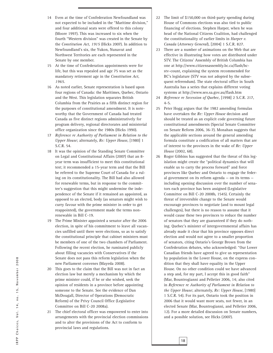- 14 Even at the time of Confederation Newfoundland was not expected to be included in the "Maritime division," and four additional seats were offered to this colony (Moore 1997). This was increased to six when the fourth "Western division" was created in the Senate by the *Constitution Act, 1915* (Hicks 2007). In addition to Newfoundland's six, the Yukon, Nunavut and Northwest Territories are each represented in the Senate by one member.
- 15 At the time of Confederation appointments were for life, but this was repealed and age 75 was set as the mandatory retirement age in the *Constitution Act, 1965*.
- 16 As noted earlier, Senate representation is based upon four regions of Canada: the Maritimes, Quebec, Ontario and the West. This legislation separates British Columbia from the Prairies as a fifth distinct region for the purposes of constitutional amendment. It is noteworthy that the Government of Canada had treated Canada as five distinct regions administratively for program delivery, regional directorates and ministerial office organization since the 1980s (Hicks 1990).
- 17 *Reference re Authority of Parliament in Relation to the Upper House*; alternately, *Re: Upper House*, [1980] 1 S.C.R. 54.
- 18 It was the opinion of the Standing Senate Committee on Legal and Constitutional Affairs (2007) that an 8 year term was insufficient to meet this constitutional test; it recommended a 15-year term and that the Bill be referred to the Supreme Court of Canada for a ruling on its constitutionality. The Bill had also allowed for renewable terms, but in response to the committee's suggestion that this might undermine the independence of the Senate if it remained an appointed, as opposed to an elected, body (as senators might wish to curry favour with the prime minister in order to get reappointed), the government made the terms nonrenewable in Bill C-19.
- 19 The Prime Minister appointed a senator after the 2006 election, in spite of his commitment to leave all vacancies unfilled until there were elections, so as to satisfy the constitutional principle that cabinet ministers must be members of one of the two chambers of Parliament. Following the recent election, he ruminated publicly about filling vacancies with Conservatives if the Senate does not pass this reform legislation when the new Parliament convenes (Mayeda 2008).
- 20 This goes to the claim that the Bill was not in fact an election law but merely a mechanism by which the prime minister could, if he or she wished, seek the opinion of residents in a province before appointing someone to the Senate. See the evidence of Dan McDougall, Director of Operations (Democratic Reform) of the Privy Council Office (Legislative Committee on Bill C-20 2008a).
- 21 The chief electoral officer was empowered to enter into arrangements with the provincial election commissions and to alter the provisions of the Act to conform to provincial laws and regulations.
- 22 The limit of \$150,000 on third-party spending during House of Commons elections was also tied to public financing of elections. Stephen Harper, when he was head of the National Citizens Coalition, had challenged the constitutionality of earlier limits in *Harper v. Canada* (*Attorney General*), [2004] 1 S.C.R. 827.
- 23 There are a number of animations on the Web that are effective in illustrating how votes are distributed under STV. The Citizens' Assembly of British Columbia has one at http://www.citizensassembly.bc.ca/flash/bcstv-count, explaining the system recommended for BC's legislature (STV was not adopted by the subsequent referendum). The state electoral office in South Australia has a series that explains different voting systems at http://www.seo.sa.gov.au/flash.htm
- 24 *Reference re Secession of Quebec*, [1998] 2 S.C.R. 217, 4-5.
- 25 Peter Hogg argues that the 1982 amending formulas have overtaken the *Re: Upper House* decision and should be treated as an explicit code governing future constitutional amendments (Special Senate Committee on Senate Reform 2006, 36-7). Monahan suggests that the applicable sections around the general amending formula constitute a codification of all matters that are of interest to the provinces in the wake of *Re: Upper House* (2002, 68).
- 26 Roger Gibbins has suggested that the threat of this legislation might create the "political dynamics that will enable us to carry the process forward" and force provinces like Quebec and Ontario to engage the federal government on its reform agenda — on its terms including opening discussion over the number of senators each province has been assigned (Legislative Committee on Bill C-20 2008b, 1545). Certainly the threat of irreversible change to the Senate would encourage provinces to negotiate (and to mount legal challenges), but there is no reason to assume that it would cause these two provinces to reduce the number of senators that they are guaranteed if they do nothing. Quebec's minister of intergovernmental affairs has already made it clear that his province opposes direct election and would not agree to a smaller proportion of senators, citing Ontario's George Brown from the Confederation debates, who acknowledged: "Our Lower Canadian friends have agreed to give us representation by population in the Lower House, on the express condition that they shall have equality in the Upper House. On no other condition could we have advanced a step and, for my part, I accept this in good faith" (Mar, Bountrogianni and Pelletier 2006, 14; also cited in *Reference re Authority of Parliament in Relation to the Upper House*; alternately, *Re: Upper House*, [1980] 1 S.C.R. 54). For its part, Ontario took the position in 2006 that it would want more seats, not fewer, in an elected Senate (Mar, Bountrogianni, and Pelletier 2006, 12). For a more detailed discussion on Senate numbers, and a possible solution, see Hicks (2007).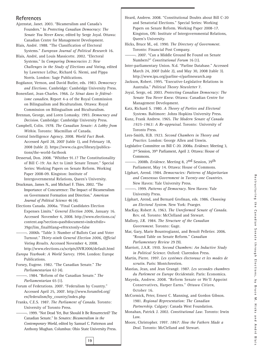#### **References**

Ajzenstat, Janet. 2003. "Bicameralism and Canada's Founders." In *Protecting Canadian Democracy: The Senate You Never Knew*, edited by Serge Joyal. Ottawa: Canadian Centre for Management Development.

Blais, André. 1988. "The Classification of Electoral Systems." *European Journal of Political Research* 16.

Blais, André, and Louis Massicotte. 2002. "Electoral Systems." In *Comparing Democracies 2: New Challenges in the Study of Elections and Voting*, edited by Lawrence LeDuc, Richard G. Niemi, and Pippa Norris. London: Sage Publications.

Bogdanor, Vernon, and David Butler, eds. 1983. *Democracy and Elections*. Cambridge: Cambridge University Press.

Bonenfant, Jean-Charles. 1966. *Le Sénat dans le fédéralisme canadien*. Report 4-a of the Royal Commission on Bilingualism and Biculturalism. Ottawa: Royal Commission on Bilingualism and Biculturalism.

Brennan, George, and Loren Lomasky. 1993. *Democracy and Decision*. Cambridge: Cambridge University Press.

Campbell, Colin. 1978. *The Canadian Senate: A Lobby from Within*. Toronto: Macmillan of Canada.

Central Intelligence Agency. 2008. *World Fact Book.* Accessed April 28, 2007 (table 1), and February 18, 2008 (table 2). https://www.cia.gov/library/publications/the-world-factbook

Desserud, Don. 2008. "Whither 91.1? The Constitutionality of Bill C-19: An Act to Limit Senate Tenure." Special Series: Working Papers on Senate Reform. Working Paper 2008-09. Kingston: Institute of Intergovernmental Relations, Queen's University.

Druckman, James N., and Michael F. Thies. 2002. "The Importance of Concurrence: The Impact of Bicameralism on Government Formation and Direction." *American Journal of Political Science* 46 (4).

Elections Canada. 2006a. "Final Candidates Election Expenses Limits." *General Election 2006,* January 16. Accessed November 4, 2008. http://www.elections.ca/ content.asp?section=pas&document=index&dir= 39ge/lim\_final&lang=e&textonly=false

- 2006b. "Table 3: Number of Ballots Cast and Voter Turnout." *Thirty-ninth General Election 2006, Official Voting Results*. Accessed November 4, 2008.

http://www.elections.ca/scripts/OVR2006/default.html *Europa Yearbook: A World Survey*. 1994. London: Europe Publications.

Forsey, Eugene. 1982. "The Canadian Senate." *The Parliamentarian* 63 (4).

———---. 1984. "Reform of the Canadian Senate." *The Parliamentarian* 65 (1).

Forum of Federations. 2007. "Federalism by Country." Accessed April 25, 2007. http://www.forumfed.org/ en/federalism/by\_country/index.php

Franks, C.E.S. 1987. *The Parliament of Canada*. Toronto: University of Toronto Press.

———---. 1999. "Not Dead Yet, But Should It Be Resurrected? The Canadian Senate." In *Senates: Bicameralism in the Contemporary World*, edited by Samuel C. Patterson and Anthony Mughan. Columbus: Ohio State University Press.

Heard, Andrew. 2008. "Constitutional Doubts about Bill C-20 and Senatorial Elections." Special Series: Working Papers on Senate Reform. Working Paper 2008-17. Kingston, ON: Institute of Intergovernmental Relations, Queen's University.

Hicks, Bruce M., ed. 1990. *The Directory of Government*. Toronto: Financial Post Company.

--. 2007. "Can a Middle Ground Be Found on Senate Numbers?" *Constitutional Forum* 16 (1).

- Inter-parliamentary Union. N.d. "Parline Database." Accessed March 24, 2007 (table 2), and May 30, 2008 (table 3). http://www.ipu.org/parline-e/parlinesearch.asp
- Jackson, Robert. 1995. "Executive-Legislative Relations in Australia." *Political Theory Newsletter* 7.

Joyal, Serge, ed. 2003. *Protecting Canadian Democracy: The Senate You Never Knew*. Ottawa: Canadian Centre for Management Development.

Katz, Richard S. 1980. *A Theory of Parties and Electoral Systems*. Baltimore: Johns Hopkins University Press.

Kunz, Frank Andrew. 1965. *The Modern Senate of Canada 1925-1963: A Re-appraisal*. Toronto: University of Toronto Press.

Lees-Smith, H.B. 1923. *Second Chambers in Theory and Practice*. London: George Allen and Unwin.

Legislative Committee on Bill C-20. 2008a. *Evidence*. Meeting 3, 2nd Session, 39th Parliament, April 2. Ottawa: House of Commons.

———---. 2008b. *Evidence*. Meeting 8, 2nd Session, 39th Parliament, May 14. Ottawa: House of Commons.

Lijphart, Arend. 1984. *Democracies: Patterns of Majoritarian and Consensus Government in Twenty-one Countries.* New Haven: Yale University Press.

———---. 1999. *Patterns of Democracy*. New Haven: Yale University Press.

Lijphart, Arend, and Bernard Grofman, eds. 1986. *Choosing an Electoral System*. New York: Praeger.

MacKay, Robert A. 1963. *The Unreformed Senate of Canada.* Rev. ed. Toronto: McClelland and Stewart.

Mallory, J.R. 1984. *The Structure of the Canadian Government*. Toronto: Gage.

Mar, Gary, Marie Bountrogianni, and Benoît Pelletier. 2006. "Round Table on Senate Reform." *Canadian Parliamentary Review* 29 (9).

Marriott, J.A.R. 1910. *Second Chambers: An Inductive Study in Political Science*. Oxford: Clarendon Press.

Martin, Pierre. 1997. *Les systèmes électoraux et les modes de scrutin*. Paris: Montchrestien.

Mastias, Jean, and Jean Grangé. 1987. *Les secondes chambres du Parlement en Europe Occidentale*. Paris: Economica.

Mayeda, Andrew. 2008. "Reform Senate or We'll Appoint Conservatives, Harper Earns." *Ottawa Citizen*, October 16.

McCormick, Peter, Ernest C. Manning, and Gordon Gibson. 1981. *Regional Representation: The Canadian Partnership*. Calgary: Canada West Foundation.

Monahan, Patrick J. 2002. *Constitutional Law*. Toronto: Irwin Law.

Moore, Christopher. 1997. *1867: How the Fathers Made a Deal*. Toronto: McClelland and Stewart.

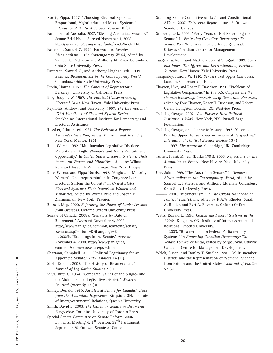Norris, Pippa. 1997. "Choosing Electoral Systems: Proportional, Majoritarian and Mixed Systems." *International Political Science Review* 18 (3).

Parliament of Australia. 2007. "Electing Australia's Senators." Senate Brief No. 1. Accesed November 4, 2008. http://www.aph.gov.au/senate/pubs/briefs/brief01.htm

Patterson, Samuel C. 1999. Foreword to *Senates: Bicameralism in the Contemporary World*, edited by Samuel C. Patterson and Anthony Mughan. Columbus: Ohio State University Press.

Patterson, Samuel C., and Anthony Mughan, eds. 1999. *Senates: Bicameralism in the Contemporary World*. Columbus: Ohio State University Press.

Pitkin, Hanna. 1967. *The Concept of Representation*. Berkeley: University of California Press.

Rae, Douglas W. 1967. *The Political Consequences of Electoral Laws*. New Haven: Yale University Press.

Reynolds, Andrew, and Ben Reilly. 1997. *The International IDEA Handbook of Electoral System Design*. Stockholm: International Institute for Democracy and Electoral Assistance.

Rossiter, Clinton, ed. 1961. *The Federalist Papers: Alexander Hamilton, James Madison, and John Jay.* New York: Mentor, 1961.

Rule, Wilma. 1992. "Multimember Legislative Districts: Majority and Anglo Women's and Men's Recruitment Opportunity." In *United States Electoral Systems: Their Impact on Women and Minorities*, edited by Wilma Rule and Joseph F. Zimmerman. New York: Praeger.

Rule, Wilma, and Pippa Norris. 1992. "Anglo and Minority Women's Underrepresentation in Congress: Is the Electoral System the Culprit?" In *United States Electoral Systems: Their Impact on Women and Minorities*, edited by Wilma Rule and Joseph F. Zimmerman. New York: Praeger.

Russell, Meg. 2000. *Reforming the House of Lords: Lessons from Overseas*. Oxford: Oxford University Press.

Senate of Canada. 2008a. "Senators by Date of Retirement." Accessed November 4, 2008. http://www.parl.gc.ca/common/senmemb/senate/ isenator.asp?sortord=R&Language=E

———---. 2008b. "Standings in the Senate." Accessed November 4, 2008. http://www.parl.gc.ca/ common/senmemb/senate/ps-e.htm

Sharman, Campbell. 2008. "Political Legitimacy for an Appointed Senate." *IRPP Choices* 14 (11).

Shell, Donald. 2003. "The History of Bicameralism." *Journal of Legislative Studies* 7 (1).

Silva, Ruth C. 1964. "Compared Values of the Single- and the Multi-member Legislative District." *Western Political Quarterly* 17 (3).

Smiley, Donald. 1985. *An Elected Senate for Canada? Clues from the Australian Experience*. Kingston, ON: Institute of Intergovernmental Relations, Queen's University.

Smith, David E. 2003. *The Canadian Senate in Bicameral Perspective*. Toronto: University of Toronto Press.

Special Senate Committee on Senate Reform. 2006. *Evidence*. Meeting 4, 1<sup>st</sup> Session, 39<sup>th</sup> Parliament, September 20. Ottawa: Senate of Canada.

Standing Senate Committee on Legal and Constitutional Affairs. 2007. *Thirteenth Report*, June 12. Ottawa: Senate of Canada.

Stilborn, Jack. 2003. "Forty Years of Not Reforming the Senate." In *Protecting Canadian Democracy: The Senate You Never Knew*, edited by Serge Joyal. Ottawa: Canadian Centre for Management Development.

Taagepera, Rein, and Matthew Soberg Shugart. 1989. *Seats and Votes: The Effects and Determinants of Electoral Systems*. New Haven: Yale University Press.

Temperley, Harold W. 1910. *Senates and Upper Chambers.* London: Chapman and Hall.

Thaysen, Uwe, and Roger H. Davidson. 1990. "Problems of Legislative Comparisons." In *The U.S. Congress and the German Bundestag: Comparisons of Democratic Processes*, edited by Uwe Thaysen, Roger H. Davidson, and Robert Gerald Livingston. Boulder, CO: Westview Press.

Tsebelis, George. 2002. *Veto Players: How Political Institutions Work*. New York, NY: Russell Sage Foundation.

Tsebelis, George, and Jeannette Money. 1992. "Cicero's Puzzle: Upper House Power in Bicameral Perspective." *International Political Science Review* 13 (1).

———---. 1997. *Bicameralism*. Cambridge, UK: Cambridge University Press.

Turner, Frank M., ed. (Burke 1791). 2003. *Reflections on the Revolution in France.* New Haven: Yale University Press.

Uhr, John. 1999. "The Australian Senate." In *Senates: Bicameralism in the Contemporary World*, edited by Samuel C. Patterson and Anthony Mughan. Columbus: Ohio State University Press.

———---. 2006. "Bicameralism." In *The Oxford Handbook of Political Institutions,* edited by R.A.W. Rhodes, Sarah A. Binder, and Bert A. Rockman. Oxford: Oxford University Press.

Watts, Ronald L. 1996. *Comparing Federal Systems in the 1990s*. Kingston, ON: Institute of Intergovernmental Relations, Queen's University.

--. 2003. "Bicameralism in Federal Parliamentary Systems." In *Protecting Canadian Democracy: The Senate You Never Knew*, edited by Serge Joyal. Ottawa: Canadian Centre for Management Development.

Welch, Susan, and Donley T. Studlar. 1990. "Multi-member Districts and the Representation of Women: Evidence from Britain and the United States." *Journal of Politics* 52 (2).

**20**

IRPP Choices, Vol. 14, no. 15, November 2008 IRPP Choices, Vol. 14, no. 15, November 2008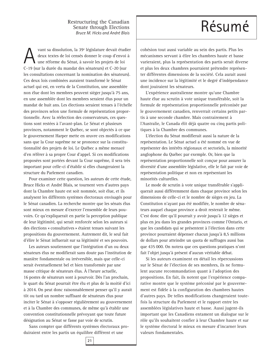#### Restructuring the Canadian<br>
Senate through Elections Senate through Elections *Bruce M. Hicks and André Blais*

vant sa dissolution, la 39<sup>e</sup> législature devait étudier deux textes de loi censés donner le coup d'envoi à une réforme du Sénat, à savoir les projets de loi C-19 (sur la durée du mandat des sénateurs) et C-20 (sur les consultations concernant la nomination des sénateurs)*.* Ces deux lois combinées auraient transformé le Sénat actuel qui est, en vertu de la Constitution, une assemblée non élue dont les membres peuvent siéger jusqu'à 75 ans, en une assemblée dont les membres seraient élus pour un mandat de huit ans. Les élections seraient tenues à l'échelle des provinces selon une formule de représentation proportionnelle. Avec la réélection des conservateurs, ces questions sont restées à l'avant-plan. Le Sénat et plusieurs provinces, notamment le Québec, se sont objectés à ce que le gouvernement Harper mette en œuvre ces modifications sans que la Cour suprême ne se prononce sur la constitutionnalité des projets de loi. Le Québec a même menacé d'en référer à sa propre Cour d'appel. Si ces modifications proposées sont portées devant la Cour suprême, il sera très important pour celle-ci d'établir si elles changeraient la structure du Parlement canadien.

Pour examiner cette question, les auteurs de cette étude, Bruce Hicks et André Blais, se tournent vers d'autres pays dont la Chambre haute est soit nommée, soit élue, et ils analysent les différents systèmes électoraux envisagés pour le Sénat canadien. La recherche montre que les sénats élus sont mieux en mesure d'exercer l'ensemble de leurs pouvoirs. Ce qu'expliquerait en partie la perception publique de leur légitimité, qui serait renforcée selon les auteurs si des élections « consultatives » étaient tenues suivant les propositions du gouvernement. Autrement dit, le seul fait d'élire le Sénat influerait sur sa légitimité et ses pouvoirs.

Les auteurs soutiennent que l'intégration d'un ou deux sénateurs élus ne modifierait sans doute pas l'institution de manière fondamentale ou irréversible, mais que celle-ci serait éventuellement bel et bien transformée par une masse critique de sénateurs élus. À l'heure actuelle, 16 postes de sénateurs sont à pourvoir. Dès l'an prochain, le quart du Sénat pourrait être élu et plus de la moitié d'ici à 2014. On peut donc raisonnablement penser qu'il y aurait tôt ou tard un nombre suffisant de sénateurs élus pour inciter le Sénat à s'opposer régulièrement au gouvernement et à la Chambre des communes, de même qu'à établir une convention constitutionnelle prévoyant que toute future désignation au Sénat se fasse par voie de scrutin.

Sans compter que différents systèmes électoraux produiraient entre les partis un équilibre différent et une

cohésion tout aussi variable au sein des partis. Plus les mécanismes servant à élire les chambres haute et basse varieraient, plus la représentation des partis serait diverse et plus les deux chambres pourraient prétendre représenter différentes dimensions de la société. Cela aurait aussi une incidence sur la légitimité et le degré d'indépendance dont jouiraient les sénateurs.

L'expérience australienne montre qu'une Chambre haute élue au scrutin à vote unique transférable, soit la formule de représentation proportionnelle préconisée par le gouvernement canadien, renverrait certains petits partis à une seconde chambre. Mais contrairement à l'Australie, le Canada élit déjà quatre ou cinq partis politiques à la Chambre des communes.

L'élection du Sénat modifierait aussi la nature de la représentation. Le Sénat actuel a été nommé en vue de représenter des intérêts régionaux et sectoriels, la minorité anglophone du Québec par exemple. Or, bien que la représentation proportionnelle soit conçue pour assurer la diversité d'une assemblée législative, elle le fait par voie de représentation politique et non en représentant les minorités culturelles.

Le mode de scrutin à vote unique transférable s'appliquerait aussi différemment dans chaque province selon les dimensions de celle-ci et le nombre de sièges en jeu. La Constitution n'ayant pas été modifiée, le nombre de sénateurs auquel chaque province a droit resterait le même. C'est donc dire qu'il pourrait y avoir jusqu'à 12 sièges et plus en jeu dans les grandes provinces comme l'Ontario, et que les candidats qui se présentent à l'élection dans cette province pourraient dépenser chacun jusqu'à 8,5 millions de dollars pour atteindre un quota de suffrages aussi bas que 435 000. On notera que ces questions pratiques n'ont fait l'objet jusqu'à présent d'aucun véritable débat.

Si les auteurs examinent en détail les répercussions sur le Sénat de l'élection de ses membres, ils ne formulent aucune recommandation quant à l'adoption des propositions. En fait, ils notent que l'expérience comparative montre que le système préconisé par le gouvernement est fidèle à la configuration des chambres hautes d'autres pays. De telles modifications changeraient toutefois la structure du Parlement et le rapport entre les assemblées législatives haute et basse. Aussi jugent-ils important que les Canadiens entament un dialogue sur le rôle qu'ils souhaitent confier à leur Chambre haute et sur le système électoral le mieux en mesure d'incarner leurs valeurs fondamentales.